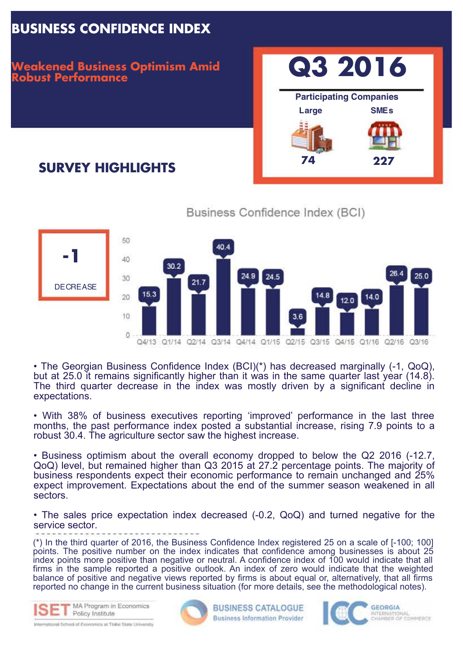# **BUSINESS CONFIDENCE INDEX**

#### **Weakened Business Optimism Amid Robust Performance**

# **Q3 2016 Large SMEs 74 227 Participating Companies**

# **SURVEY HIGHLIGHTS**





• The Georgian Business Confidence Index (BCI)(\*) has decreased marginally (-1, QoQ), but at 25.0 it remains significantly higher than it was in the same quarter last year (14.8). The third quarter decrease in the index was mostly driven by a significant decline in expectations.

• With 38% of business executives reporting 'improved' performance in the last three months, the past performance index posted a substantial increase, rising 7.9 points to a robust 30.4. The agriculture sector saw the highest increase.

• Business optimism about the overall economy dropped to below the Q2 2016 (-12.7, QoQ) level, but remained higher than Q3 2015 at 27.2 percentage points. The majority of business respondents expect their economic performance to remain unchanged and 25% expect improvement. Expectations about the end of the summer season weakened in all sectors.

• The sales price expectation index decreased (-0.2, QoQ) and turned negative for the service sector.

(\*) In the third quarter of 2016, the Business Confidence Index registered 25 on a scale of [-100; 100] points. The positive number on the index indicates that confidence among businesses is about 25 index points more positive than negative or neutral. A confidence index of 100 would indicate that all firms in the sample reported a positive outlook. An index of zero would indicate that the weighted balance of positive and negative views reported by firms is about equal or, alternatively, that all firms reported no change in the current business situation (for more details, see the methodological notes).



International School of Pennsyling at Thillai State University



**BUSINESS CATALOGUE Business Information Provider** 



**GEORGIA** INTERNATIONAL<br>CHAMBER OF COMMERCE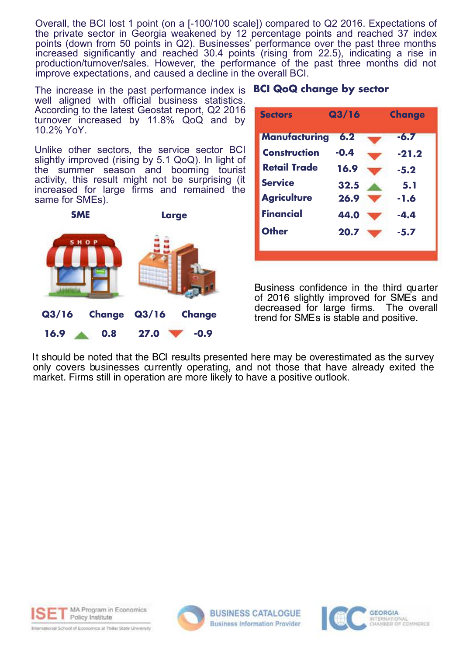Overall, the BCI lost 1 point (on a [-100/100 scale]) compared to Q2 2016. Expectations of the private sector in Georgia weakened by 12 percentage points and reached 37 index points (down from 50 points in Q2). Businesses' performance over the past three months increased significantly and reached 30.4 points (rising from 22.5), indicating a rise in production/turnover/sales. However, the performance of the past three months did not improve expectations, and caused a decline in the overall BCI.

The increase in the past performance index is I well aligned with official business statistics. According to the latest Geostat report, Q2 2016 turnover increased by 11.8% QoQ and by 10.2% YoY.

**800** slightly improved (rising by 5.1 QoQ). In light of Unlike other sectors, the service sector BCI the summer season and booming tourist activity, this result might not be surprising (it increased for large firms and remained the same for SMEs).



|  |  | <b>BCI QoQ change by sector</b> |  |  |
|--|--|---------------------------------|--|--|
|--|--|---------------------------------|--|--|

| <b>Sectors</b>       | Q3/16  | <b>Change</b> |
|----------------------|--------|---------------|
| <b>Manufacturing</b> | 6.2    | $-6.7$        |
| <b>Construction</b>  | $-0.4$ | $-21.2$       |
| <b>Retail Trade</b>  | 16.9   | $-5.2$        |
| <b>Service</b>       | 32.5   | 5.1           |
| <b>Agriculture</b>   | 26.9   | $-1.6$        |
| <b>Financial</b>     | 44.0   | -4.4          |
| <b>Other</b>         | 20.7   | $-5.7$        |
|                      |        |               |

Business confidence in the third quarter of 2016 slightly improved for SMEs and decreased for large firms. The overall trend for SMEs is stable and positive.

It should be noted that the BCI results presented here may be overestimated as the survey only covers businesses currently operating, and not those that have already exited the market. Firms still in operation are more likely to have a positive outlook.





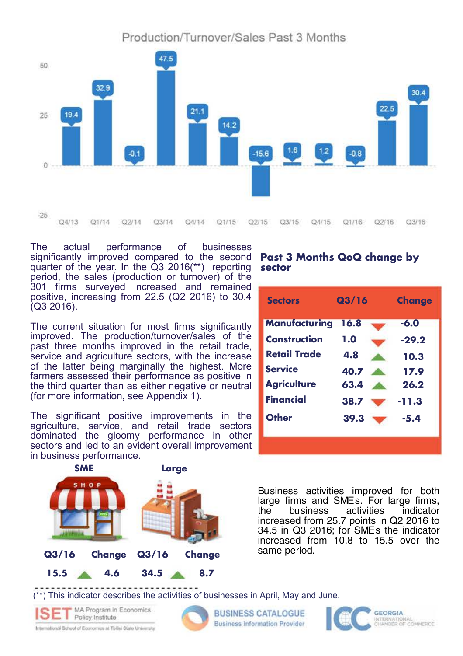Production/Turnover/Sales Past 3 Months



The actual performance of businesses significantly improved compared to the second quarter of the year. In the Q3 2016(\*\*) reporting period, the sales (production or turnover) of the 301 firms surveyed increased and remained positive, increasing from 22.5 (Q2 2016) to 30.4 (Q3 2016).

The current situation for most firms significantly improved. The production/turnover/sales of the past three months improved in the retail trade, service and agriculture sectors, with the increase of the latter being marginally the highest. More farmers assessed their performance as positive in the third quarter than as either negative or neutral (for more information, see Appendix 1).

The significant positive improvements in the agriculture, service, and retail trade sectors dominated the gloomy performance in other sectors and led to an evident overall improvement in business performance.



#### **Past 3 Months QoQ change by sector**

| <b>Sectors</b>       | Q3/16 | <b>Change</b> |
|----------------------|-------|---------------|
| <b>Manufacturing</b> | 16.8  | $-6.0$        |
| Construction         | 1.0   | $-29.2$       |
| <b>Retail Trade</b>  | 4.8   | 10.3          |
| <b>Service</b>       | 40.7  | 17.9          |
| <b>Agriculture</b>   | 63.4  | 26.2          |
| <b>Financial</b>     | 38.7  | $-11.3$       |
| <b>Other</b>         | 39.3  | $-5.4$        |
|                      |       |               |

Business activities improved for both large firms and SMEs. For large firms,<br>the business activities indicator the business activities indicator increased from 25.7 points in Q2 2016 to 34.5 in Q3 2016; for SMEs the indicator increased from 10.8 to 15.5 over the

(\*\*) This indicator describes the activities of businesses in April, May and June.

MA Program In Economics  $\sum$  Policy Institute

International School of Economics at Tbilisi State University



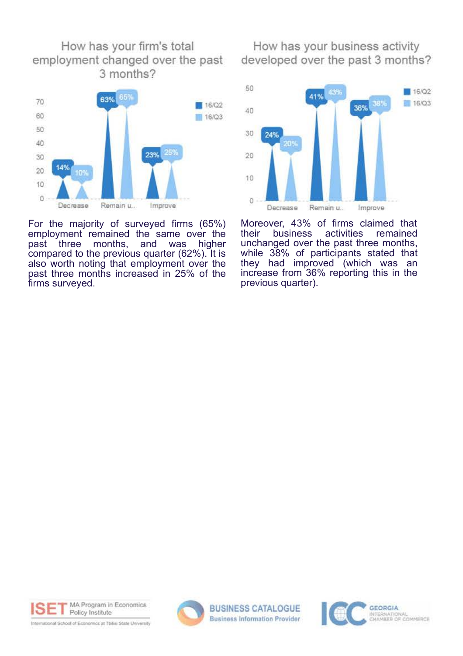

For the majority of surveyed firms (65%) employment remained the same over the<br>past three months, and was higher months, and was higher compared to the previous quarter (62%). It is also worth noting that employment over the past three months increased in 25% of the firms surveyed.

How has your business activity developed over the past 3 months?



Moreover, 43% of firms claimed that<br>their business activities remained their business activities remained unchanged over the past three months, while 38% of participants stated that they had improved (which was an increase from 36% reporting this in the previous quarter).





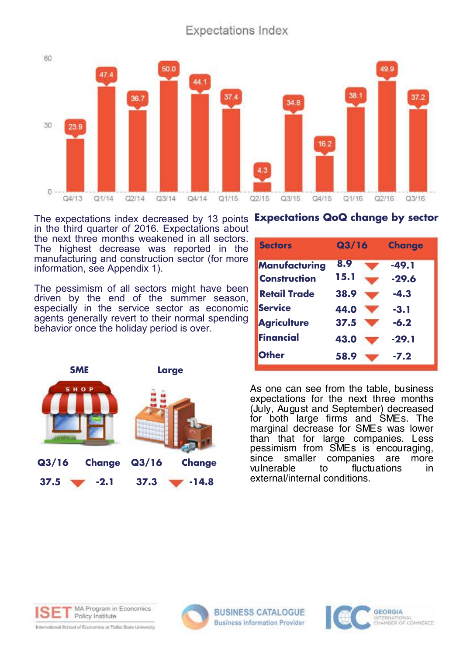#### **Expectations Index**



The expectations index decreased by 13 points **Expectations QoQ change by sector** in the third quarter of 2016. Expectations about the next three months weakened in all sectors. The highest decrease was reported in the manufacturing and construction sector (for more information, see Appendix 1).

The pessimism of all sectors might have been driven by the end of the summer season, especially in the service sector as economic agents generally revert to their normal spending behavior once the holiday period is over.

**Large**







**SME**



International School of Economics at Tollisi State University



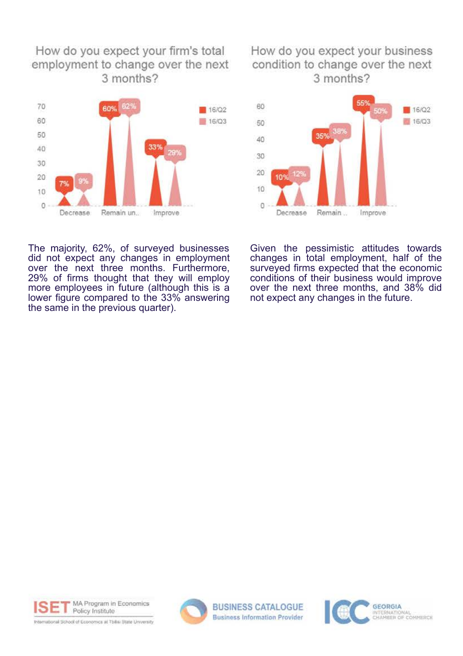#### How do you expect your firm's total employment to change over the next 3 months?



#### How do you expect your business condition to change over the next 3 months?



The majority, 62%, of surveyed businesses did not expect any changes in employment over the next three months. Furthermore, 29% of firms thought that they will employ more employees in future (although this is a lower figure compared to the 33% answering the same in the previous quarter).

Given the pessimistic attitudes towards changes in total employment, half of the surveyed firms expected that the economic conditions of their business would improve over the next three months, and 38% did not expect any changes in the future.

MA Program in Economics Policy Institute

International School of Economics at Tbilis State University



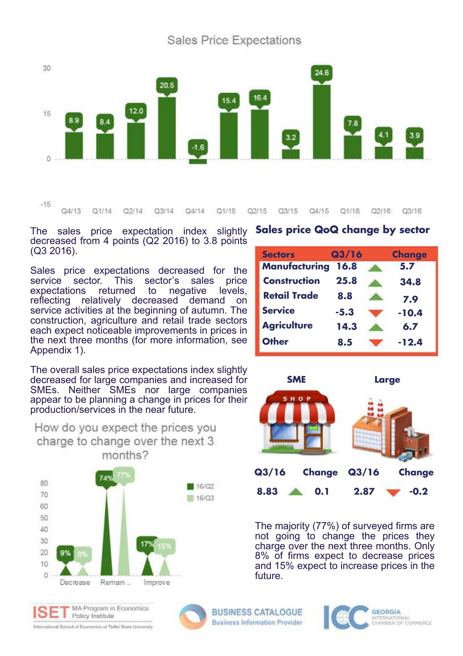**Sales Price Expectations** 



 $Q4/13$  $Q1/14$ Q1/15  $O2/15$ O3/15  $Q4/15$  $Q1/16$ Q2/16 Q3/16  $O2/14$  $03/14$  $Od/14$ 

The sales price expectation index slightly decreased from 4 points (Q2 2016) to 3.8 points (Q3 2016).

Sales price expectations decreased for the service sector. This sector's sales price service sector. This sector's sales expectations returned to negative levels,<br>reflecting relatively decreased demand on reflecting relatively decreased service activities at the beginning of autumn. The construction, agriculture and retail trade sectors each expect noticeable improvements in prices in the next three months (for more information, see Appendix 1).

**Sectors Manufacturing 16.8 5.7 Construction Retail Trade Service Agriculture Other Q3/16 Change 25.8 34.8 8.8 7.9 -5.3 -10.4 14.3 6.7 8.5 -12.4**

**Sales price QoQ change by sector**

The overall sales price expectations index slightly decreased for large companies and increased for SMEs. Neither SMEs nor large companies appear to be planning a change in prices for their production/services in the near future.



How do you expect the prices you

**SMELarge HOI Q3/16 Change Q3/16 Change 8.83 0.1 2.87 -0.2**

The majority (77%) of surveyed firms are not going to change the prices they charge over the next three months. Only 8% of firms expect to decrease prices and 15% expect to increase prices in the future.







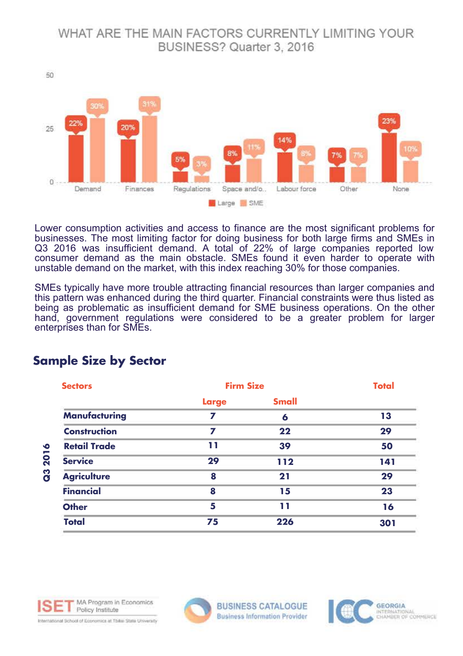#### WHAT ARE THE MAIN FACTORS CURRENTLY LIMITING YOUR BUSINESS? Quarter 3, 2016



Lower consumption activities and access to finance are the most significant problems for businesses. The most limiting factor for doing business for both large firms and SMEs in Q3 2016 was insufficient demand. A total of 22% of large companies reported low consumer demand as the main obstacle. SMEs found it even harder to operate with unstable demand on the market, with this index reaching 30% for those companies.

SMEs typically have more trouble attracting financial resources than larger companies and this pattern was enhanced during the third quarter. Financial constraints were thus listed as being as problematic as insufficient demand for SME business operations. On the other hand, government regulations were considered to be a greater problem for larger enterprises than for SMEs.

| <b>Sectors</b>       | <b>Firm Size</b> |              | <b>Total</b> |
|----------------------|------------------|--------------|--------------|
|                      | <b>Large</b>     | <b>Small</b> |              |
| <b>Manufacturing</b> | 7                | 6            | 13           |
| <b>Construction</b>  | 7                | 22           | 29           |
| <b>Retail Trade</b>  | 11               | 39           | 50           |
| <b>Service</b>       | 29               | 112          | 141          |
| <b>Agriculture</b>   | 8                | 21           | 29           |
| <b>Financial</b>     | 8                | 15           | 23           |
| <b>Other</b>         | 5                | 11           | 16           |
| <b>Total</b>         | 75               | 226          | 301          |

### **Sample Size by Sector**



International School of Economics at Tbike State University



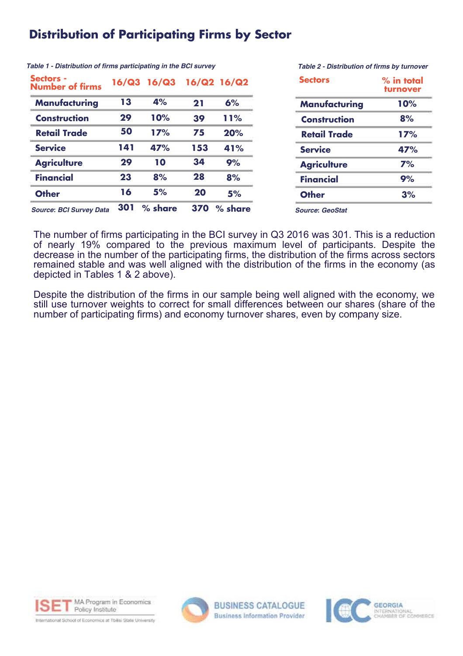### **Distribution of Participating Firms by Sector**

| <b>Sectors -</b><br><b>Number of firms</b> |     | 16/Q3 16/Q3 |     | 16/Q2 16/Q2 |
|--------------------------------------------|-----|-------------|-----|-------------|
| <b>Manufacturing</b>                       | 13  | 4%          | 21  | 6%          |
| <b>Construction</b>                        | 29  | 10%         | 39  | 11%         |
| <b>Retail Trade</b>                        | 50  | 17%         | 75  | 20%         |
| <b>Service</b>                             | 141 | 47%         | 153 | 41%         |
| <b>Agriculture</b>                         | 29  | 10          | 34  | 9%          |
| <b>Financial</b>                           | 23  | 8%          | 28  | 8%          |
| <b>Other</b>                               | 16  | 5%          | 20  | 5%          |
| <b>Source: BCI Survey Data</b>             | 301 | % share     | 370 | % share     |

**Table 1 - Distribution of firms participating in the BCI survey**

**Table 2 - Distribution of firms by turnover**

| $%$ in total<br>turnover<br>10% |  |
|---------------------------------|--|
|                                 |  |
| 17%                             |  |
| 47%                             |  |
| 7%                              |  |
| 9%                              |  |
| 3%                              |  |
|                                 |  |

**Source: GeoStat** 

The number of firms participating in the BCI survey in Q3 2016 was 301. This is a reduction of nearly 19% compared to the previous maximum level of participants. Despite the decrease in the number of the participating firms, the distribution of the firms across sectors remained stable and was well aligned with the distribution of the firms in the economy (as depicted in Tables 1 & 2 above).

Despite the distribution of the firms in our sample being well aligned with the economy, we still use turnover weights to correct for small differences between our shares (share of the number of participating firms) and economy turnover shares, even by company size.





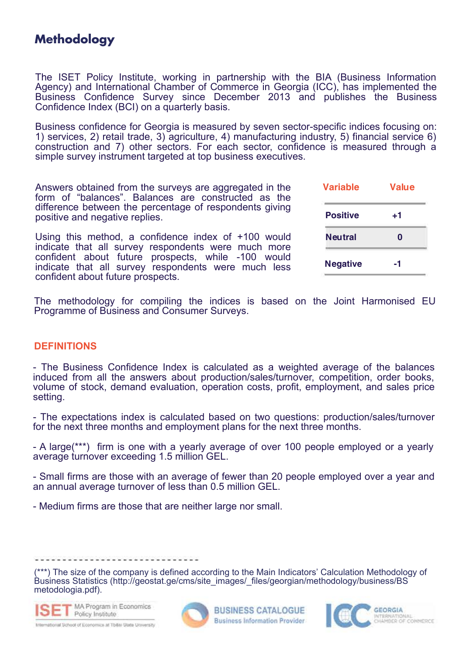## **Methodology**

The ISET Policy Institute, working in partnership with the BIA (Business Information Agency) and International Chamber of Commerce in Georgia (ICC), has implemented the Business Confidence Survey since December 2013 and publishes the Business Confidence Index (BCI) on a quarterly basis.

Business confidence for Georgia is measured by seven sector-specific indices focusing on: 1) services, 2) retail trade, 3) agriculture, 4) manufacturing industry, 5) financial service 6) construction and 7) other sectors. For each sector, confidence is measured through a simple survey instrument targeted at top business executives.

Answers obtained from the surveys are aggregated in the form of "balances". Balances are constructed as the difference between the percentage of respondents giving positive and negative replies.

Using this method, a confidence index of +100 would indicate that all survey respondents were much more confident about future prospects, while -100 would indicate that all survey respondents were much less confident about future prospects.

| Value |  |  |
|-------|--|--|
| +1    |  |  |
| O     |  |  |
| -1    |  |  |
|       |  |  |

The methodology for compiling the indices is based on the Joint Harmonised EU Programme of Business and Consumer Surveys.

#### **DEFINITIONS**

- The Business Confidence Index is calculated as a weighted average of the balances induced from all the answers about production/sales/turnover, competition, order books, volume of stock, demand evaluation, operation costs, profit, employment, and sales price setting.

- The expectations index is calculated based on two questions: production/sales/turnover for the next three months and employment plans for the next three months.

- A large(\*\*\*) firm is one with a yearly average of over 100 people employed or a yearly average turnover exceeding 1.5 million GEL.

- Small firms are those with an average of fewer than 20 people employed over a year and an annual average turnover of less than 0.5 million GEL.

- Medium firms are those that are neither large nor small.

a di sebagai sebagai sebagai sebagai sebagai sebagai sebagai sebagai sebagai sebagai sebagai sebagai sebagai s<br>Sebagai sebagai sebagai sebagai sebagai sebagai sebagai sebagai sebagai sebagai sebagai sebagai sebagai sebaga

(\*\*\*) The size of the company is defined according to the Main Indicators' Calculation Methodology of Business Statistics (http://geostat.ge/cms/site\_images/\_files/georgian/methodology/business/BS metodologia.pdf).



International School of Economics at Tbilai State University



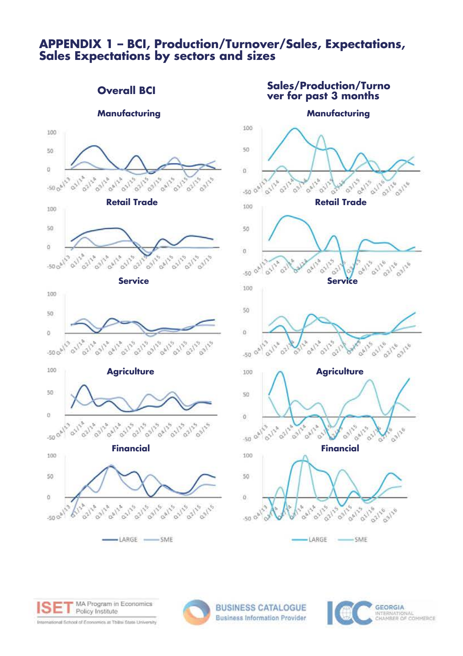#### **APPENDIX 1 – BCI, Production/Turnover/Sales, Expectations, Sales Expectations by sectors and sizes**







International School of Economics at Tollisi State University